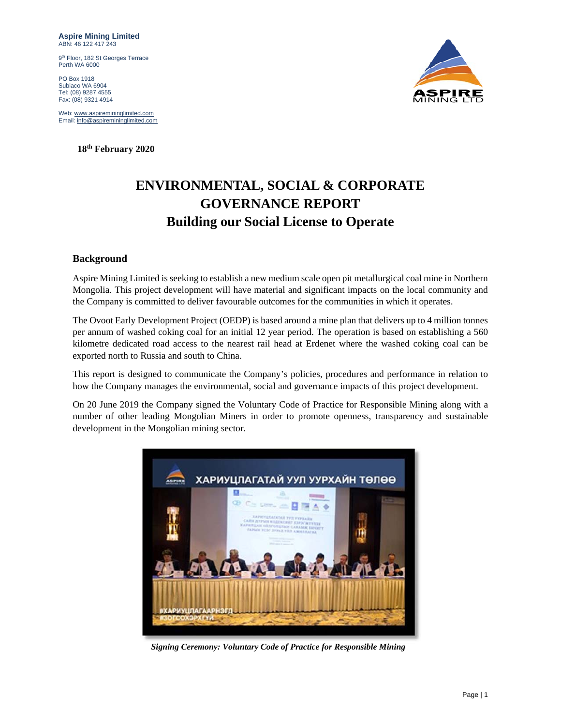**Aspire Mining Limited**  ABN: 46 122 417 243

9<sup>th</sup> Floor, 182 St Georges Terrace Perth WA 6000

PO Box 1918 Subiaco WA 6904 Tel: (08) 9287 4555 Fax: (08) 9321 4914

Web: www.aspiremininglimited.com Email: info@aspiremininglimited.com

 **18th February 2020** 



# **ENVIRONMENTAL, SOCIAL & CORPORATE GOVERNANCE REPORT Building our Social License to Operate**

## **Background**

Aspire Mining Limited is seeking to establish a new medium scale open pit metallurgical coal mine in Northern Mongolia. This project development will have material and significant impacts on the local community and the Company is committed to deliver favourable outcomes for the communities in which it operates.

The Ovoot Early Development Project (OEDP) is based around a mine plan that delivers up to 4 million tonnes per annum of washed coking coal for an initial 12 year period. The operation is based on establishing a 560 kilometre dedicated road access to the nearest rail head at Erdenet where the washed coking coal can be exported north to Russia and south to China.

This report is designed to communicate the Company's policies, procedures and performance in relation to how the Company manages the environmental, social and governance impacts of this project development.

On 20 June 2019 the Company signed the Voluntary Code of Practice for Responsible Mining along with a number of other leading Mongolian Miners in order to promote openness, transparency and sustainable development in the Mongolian mining sector.



*Signing Ceremony: Voluntary Code of Practice for Responsible Mining*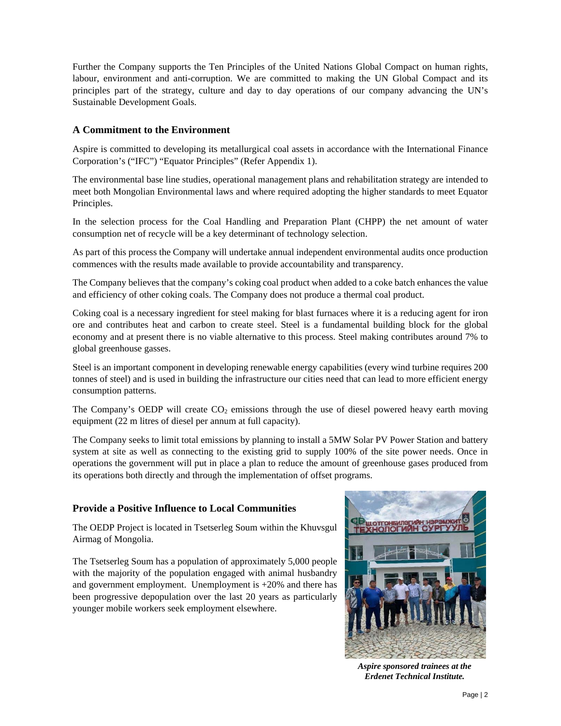Further the Company supports the Ten Principles of the United Nations Global Compact on human rights, labour, environment and anti-corruption. We are committed to making the UN Global Compact and its principles part of the strategy, culture and day to day operations of our company advancing the UN's Sustainable Development Goals.

## **A Commitment to the Environment**

Aspire is committed to developing its metallurgical coal assets in accordance with the International Finance Corporation's ("IFC") "Equator Principles" (Refer Appendix 1).

The environmental base line studies, operational management plans and rehabilitation strategy are intended to meet both Mongolian Environmental laws and where required adopting the higher standards to meet Equator Principles.

In the selection process for the Coal Handling and Preparation Plant (CHPP) the net amount of water consumption net of recycle will be a key determinant of technology selection.

As part of this process the Company will undertake annual independent environmental audits once production commences with the results made available to provide accountability and transparency.

The Company believes that the company's coking coal product when added to a coke batch enhances the value and efficiency of other coking coals. The Company does not produce a thermal coal product.

Coking coal is a necessary ingredient for steel making for blast furnaces where it is a reducing agent for iron ore and contributes heat and carbon to create steel. Steel is a fundamental building block for the global economy and at present there is no viable alternative to this process. Steel making contributes around 7% to global greenhouse gasses.

Steel is an important component in developing renewable energy capabilities (every wind turbine requires 200 tonnes of steel) and is used in building the infrastructure our cities need that can lead to more efficient energy consumption patterns.

The Company's OEDP will create  $CO<sub>2</sub>$  emissions through the use of diesel powered heavy earth moving equipment (22 m litres of diesel per annum at full capacity).

The Company seeks to limit total emissions by planning to install a 5MW Solar PV Power Station and battery system at site as well as connecting to the existing grid to supply 100% of the site power needs. Once in operations the government will put in place a plan to reduce the amount of greenhouse gases produced from its operations both directly and through the implementation of offset programs.

## **Provide a Positive Influence to Local Communities**

The OEDP Project is located in Tsetserleg Soum within the Khuvsgul Airmag of Mongolia.

The Tsetserleg Soum has a population of approximately 5,000 people with the majority of the population engaged with animal husbandry and government employment. Unemployment is  $+20\%$  and there has been progressive depopulation over the last 20 years as particularly younger mobile workers seek employment elsewhere.



*Aspire sponsored trainees at the Erdenet Technical Institute.*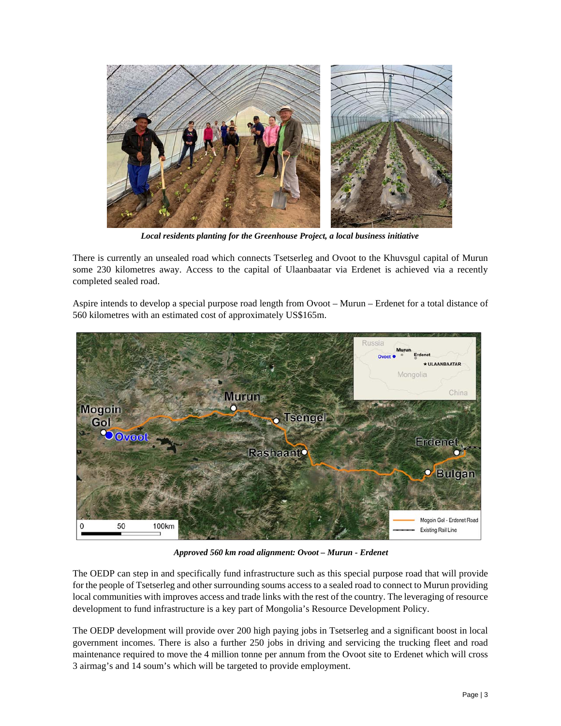

*Local residents planting for the Greenhouse Project, a local business initiative* 

There is currently an unsealed road which connects Tsetserleg and Ovoot to the Khuvsgul capital of Murun some 230 kilometres away. Access to the capital of Ulaanbaatar via Erdenet is achieved via a recently completed sealed road.

Aspire intends to develop a special purpose road length from Ovoot – Murun – Erdenet for a total distance of 560 kilometres with an estimated cost of approximately US\$165m.



*Approved 560 km road alignment: Ovoot – Murun - Erdenet* 

The OEDP can step in and specifically fund infrastructure such as this special purpose road that will provide for the people of Tsetserleg and other surrounding soums access to a sealed road to connect to Murun providing local communities with improves access and trade links with the rest of the country. The leveraging of resource development to fund infrastructure is a key part of Mongolia's Resource Development Policy.

The OEDP development will provide over 200 high paying jobs in Tsetserleg and a significant boost in local government incomes. There is also a further 250 jobs in driving and servicing the trucking fleet and road maintenance required to move the 4 million tonne per annum from the Ovoot site to Erdenet which will cross 3 airmag's and 14 soum's which will be targeted to provide employment.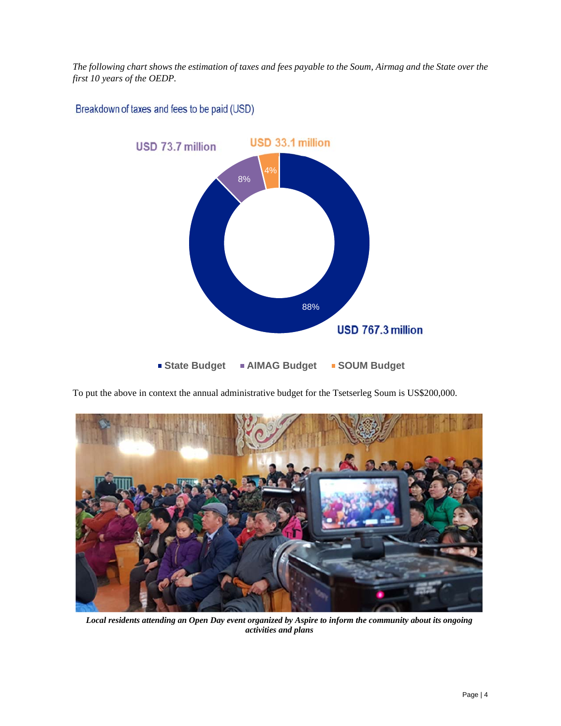*The following chart shows the estimation of taxes and fees payable to the Soum, Airmag and the State over the first 10 years of the OEDP.* 

Breakdown of taxes and fees to be paid (USD)



To put the above in context the annual administrative budget for the Tsetserleg Soum is US\$200,000.



*Local residents attending an Open Day event organized by Aspire to inform the community about its ongoing activities and plans*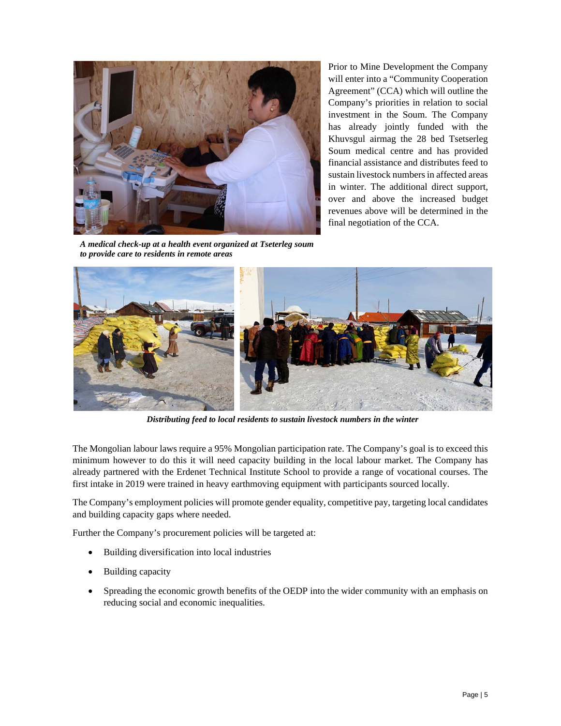

Prior to Mine Development the Company will enter into a "Community Cooperation Agreement" (CCA) which will outline the Company's priorities in relation to social investment in the Soum. The Company has already jointly funded with the Khuvsgul airmag the 28 bed Tsetserleg Soum medical centre and has provided financial assistance and distributes feed to sustain livestock numbers in affected areas in winter. The additional direct support, over and above the increased budget revenues above will be determined in the final negotiation of the CCA.

*A medical check-up at a health event organized at Tseterleg soum to provide care to residents in remote areas* 



*Distributing feed to local residents to sustain livestock numbers in the winter* 

The Mongolian labour laws require a 95% Mongolian participation rate. The Company's goal is to exceed this minimum however to do this it will need capacity building in the local labour market. The Company has already partnered with the Erdenet Technical Institute School to provide a range of vocational courses. The first intake in 2019 were trained in heavy earthmoving equipment with participants sourced locally.

The Company's employment policies will promote gender equality, competitive pay, targeting local candidates and building capacity gaps where needed.

Further the Company's procurement policies will be targeted at:

- Building diversification into local industries
- Building capacity
- Spreading the economic growth benefits of the OEDP into the wider community with an emphasis on reducing social and economic inequalities.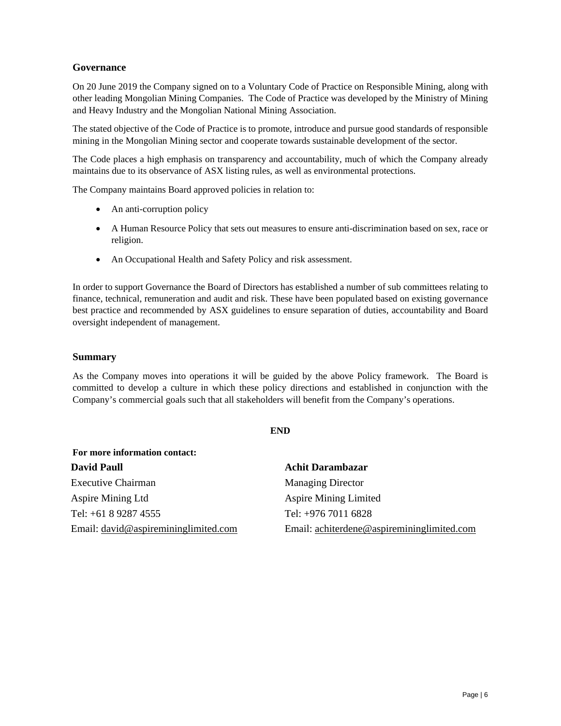## **Governance**

On 20 June 2019 the Company signed on to a Voluntary Code of Practice on Responsible Mining, along with other leading Mongolian Mining Companies. The Code of Practice was developed by the Ministry of Mining and Heavy Industry and the Mongolian National Mining Association.

The stated objective of the Code of Practice is to promote, introduce and pursue good standards of responsible mining in the Mongolian Mining sector and cooperate towards sustainable development of the sector.

The Code places a high emphasis on transparency and accountability, much of which the Company already maintains due to its observance of ASX listing rules, as well as environmental protections.

The Company maintains Board approved policies in relation to:

- An anti-corruption policy
- A Human Resource Policy that sets out measures to ensure anti-discrimination based on sex, race or religion.
- An Occupational Health and Safety Policy and risk assessment.

In order to support Governance the Board of Directors has established a number of sub committees relating to finance, technical, remuneration and audit and risk. These have been populated based on existing governance best practice and recommended by ASX guidelines to ensure separation of duties, accountability and Board oversight independent of management.

#### **Summary**

As the Company moves into operations it will be guided by the above Policy framework. The Board is committed to develop a culture in which these policy directions and established in conjunction with the Company's commercial goals such that all stakeholders will benefit from the Company's operations.

#### **END**

| For more information contact:              |  |  |
|--------------------------------------------|--|--|
| <b>Achit Darambazar</b>                    |  |  |
| <b>Managing Director</b>                   |  |  |
| <b>Aspire Mining Limited</b>               |  |  |
| Tel: +976 7011 6828                        |  |  |
| Email: achiterdene@aspiremininglimited.com |  |  |
|                                            |  |  |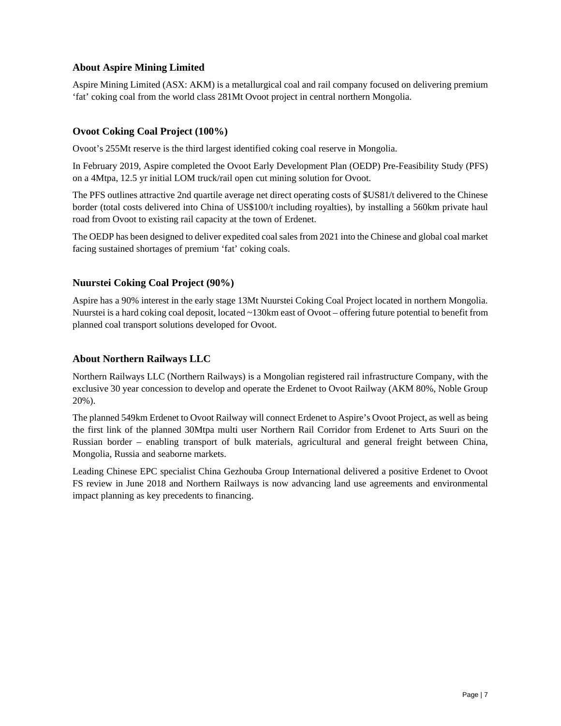## **About Aspire Mining Limited**

Aspire Mining Limited (ASX: AKM) is a metallurgical coal and rail company focused on delivering premium 'fat' coking coal from the world class 281Mt Ovoot project in central northern Mongolia.

## **Ovoot Coking Coal Project (100%)**

Ovoot's 255Mt reserve is the third largest identified coking coal reserve in Mongolia.

In February 2019, Aspire completed the Ovoot Early Development Plan (OEDP) Pre-Feasibility Study (PFS) on a 4Mtpa, 12.5 yr initial LOM truck/rail open cut mining solution for Ovoot.

The PFS outlines attractive 2nd quartile average net direct operating costs of \$US81/t delivered to the Chinese border (total costs delivered into China of US\$100/t including royalties), by installing a 560km private haul road from Ovoot to existing rail capacity at the town of Erdenet.

The OEDP has been designed to deliver expedited coal sales from 2021 into the Chinese and global coal market facing sustained shortages of premium 'fat' coking coals.

## **Nuurstei Coking Coal Project (90%)**

Aspire has a 90% interest in the early stage 13Mt Nuurstei Coking Coal Project located in northern Mongolia. Nuurstei is a hard coking coal deposit, located ~130km east of Ovoot – offering future potential to benefit from planned coal transport solutions developed for Ovoot.

## **About Northern Railways LLC**

Northern Railways LLC (Northern Railways) is a Mongolian registered rail infrastructure Company, with the exclusive 30 year concession to develop and operate the Erdenet to Ovoot Railway (AKM 80%, Noble Group 20%).

The planned 549km Erdenet to Ovoot Railway will connect Erdenet to Aspire's Ovoot Project, as well as being the first link of the planned 30Mtpa multi user Northern Rail Corridor from Erdenet to Arts Suuri on the Russian border – enabling transport of bulk materials, agricultural and general freight between China, Mongolia, Russia and seaborne markets.

Leading Chinese EPC specialist China Gezhouba Group International delivered a positive Erdenet to Ovoot FS review in June 2018 and Northern Railways is now advancing land use agreements and environmental impact planning as key precedents to financing.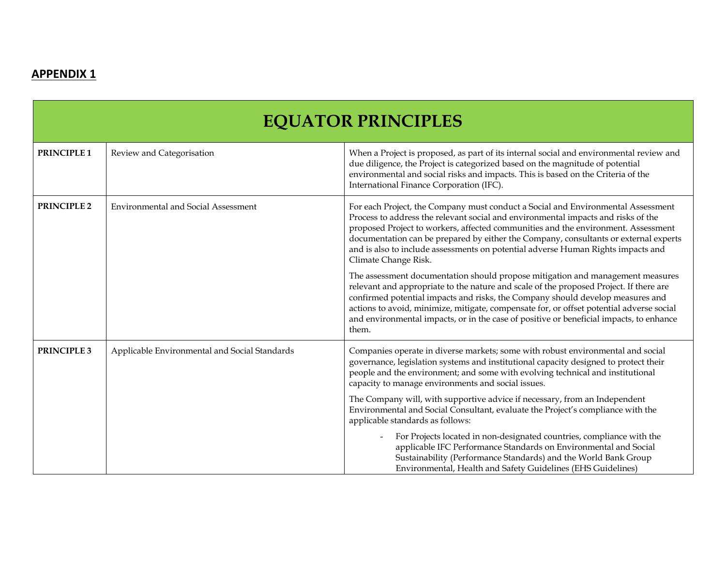## **APPENDIX 1**

| <b>EQUATOR PRINCIPLES</b> |                                               |                                                                                                                                                                                                                                                                                                                                                                                                                                                                |  |  |
|---------------------------|-----------------------------------------------|----------------------------------------------------------------------------------------------------------------------------------------------------------------------------------------------------------------------------------------------------------------------------------------------------------------------------------------------------------------------------------------------------------------------------------------------------------------|--|--|
| PRINCIPLE 1               | Review and Categorisation                     | When a Project is proposed, as part of its internal social and environmental review and<br>due diligence, the Project is categorized based on the magnitude of potential<br>environmental and social risks and impacts. This is based on the Criteria of the<br>International Finance Corporation (IFC).                                                                                                                                                       |  |  |
| PRINCIPLE 2               | <b>Environmental and Social Assessment</b>    | For each Project, the Company must conduct a Social and Environmental Assessment<br>Process to address the relevant social and environmental impacts and risks of the<br>proposed Project to workers, affected communities and the environment. Assessment<br>documentation can be prepared by either the Company, consultants or external experts<br>and is also to include assessments on potential adverse Human Rights impacts and<br>Climate Change Risk. |  |  |
|                           |                                               | The assessment documentation should propose mitigation and management measures<br>relevant and appropriate to the nature and scale of the proposed Project. If there are<br>confirmed potential impacts and risks, the Company should develop measures and<br>actions to avoid, minimize, mitigate, compensate for, or offset potential adverse social<br>and environmental impacts, or in the case of positive or beneficial impacts, to enhance<br>them.     |  |  |
| PRINCIPLE 3               | Applicable Environmental and Social Standards | Companies operate in diverse markets; some with robust environmental and social<br>governance, legislation systems and institutional capacity designed to protect their<br>people and the environment; and some with evolving technical and institutional<br>capacity to manage environments and social issues.                                                                                                                                                |  |  |
|                           |                                               | The Company will, with supportive advice if necessary, from an Independent<br>Environmental and Social Consultant, evaluate the Project's compliance with the<br>applicable standards as follows:                                                                                                                                                                                                                                                              |  |  |
|                           |                                               | For Projects located in non-designated countries, compliance with the<br>applicable IFC Performance Standards on Environmental and Social<br>Sustainability (Performance Standards) and the World Bank Group<br>Environmental, Health and Safety Guidelines (EHS Guidelines)                                                                                                                                                                                   |  |  |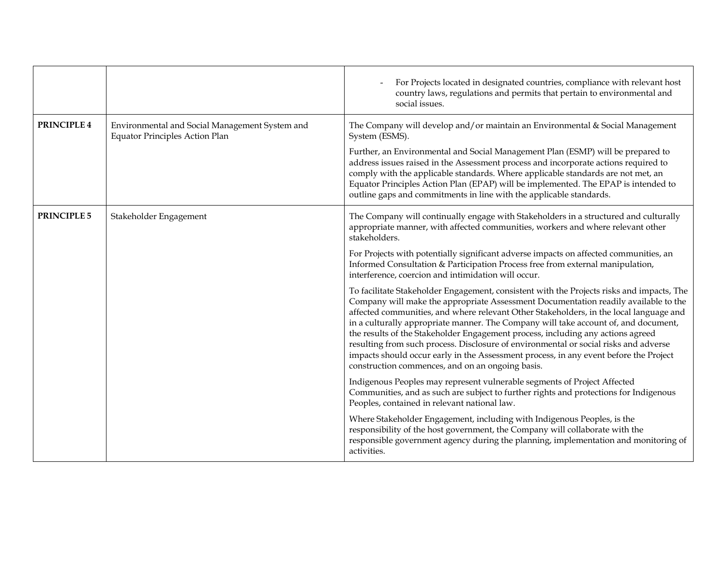|                    |                                                                                         | For Projects located in designated countries, compliance with relevant host<br>country laws, regulations and permits that pertain to environmental and<br>social issues.                                                                                                                                                                                                                                                                                                                                                                                                                                                                                                                  |
|--------------------|-----------------------------------------------------------------------------------------|-------------------------------------------------------------------------------------------------------------------------------------------------------------------------------------------------------------------------------------------------------------------------------------------------------------------------------------------------------------------------------------------------------------------------------------------------------------------------------------------------------------------------------------------------------------------------------------------------------------------------------------------------------------------------------------------|
| <b>PRINCIPLE 4</b> | Environmental and Social Management System and<br><b>Equator Principles Action Plan</b> | The Company will develop and/or maintain an Environmental & Social Management<br>System (ESMS).                                                                                                                                                                                                                                                                                                                                                                                                                                                                                                                                                                                           |
|                    |                                                                                         | Further, an Environmental and Social Management Plan (ESMP) will be prepared to<br>address issues raised in the Assessment process and incorporate actions required to<br>comply with the applicable standards. Where applicable standards are not met, an<br>Equator Principles Action Plan (EPAP) will be implemented. The EPAP is intended to<br>outline gaps and commitments in line with the applicable standards.                                                                                                                                                                                                                                                                   |
| <b>PRINCIPLE 5</b> | Stakeholder Engagement                                                                  | The Company will continually engage with Stakeholders in a structured and culturally<br>appropriate manner, with affected communities, workers and where relevant other<br>stakeholders.                                                                                                                                                                                                                                                                                                                                                                                                                                                                                                  |
|                    |                                                                                         | For Projects with potentially significant adverse impacts on affected communities, an<br>Informed Consultation & Participation Process free from external manipulation,<br>interference, coercion and intimidation will occur.                                                                                                                                                                                                                                                                                                                                                                                                                                                            |
|                    |                                                                                         | To facilitate Stakeholder Engagement, consistent with the Projects risks and impacts, The<br>Company will make the appropriate Assessment Documentation readily available to the<br>affected communities, and where relevant Other Stakeholders, in the local language and<br>in a culturally appropriate manner. The Company will take account of, and document,<br>the results of the Stakeholder Engagement process, including any actions agreed<br>resulting from such process. Disclosure of environmental or social risks and adverse<br>impacts should occur early in the Assessment process, in any event before the Project<br>construction commences, and on an ongoing basis. |
|                    |                                                                                         | Indigenous Peoples may represent vulnerable segments of Project Affected<br>Communities, and as such are subject to further rights and protections for Indigenous<br>Peoples, contained in relevant national law.                                                                                                                                                                                                                                                                                                                                                                                                                                                                         |
|                    |                                                                                         | Where Stakeholder Engagement, including with Indigenous Peoples, is the<br>responsibility of the host government, the Company will collaborate with the<br>responsible government agency during the planning, implementation and monitoring of<br>activities.                                                                                                                                                                                                                                                                                                                                                                                                                             |